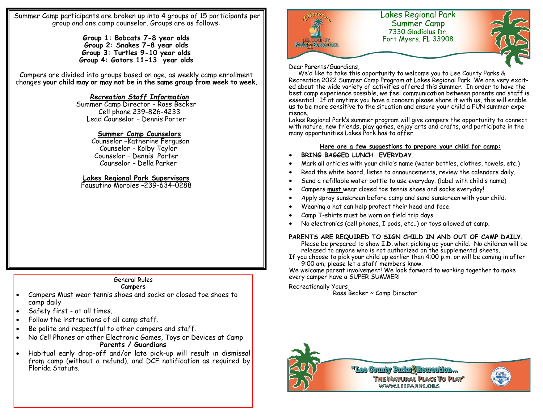Summer Camp participants are broken up into 4 groups of 15 participants per group and one camp counselor. Groups are as follows:

> **Group 1: Bobcats 7-8 year olds Group 2: Snakes 7-8 year olds Group 3: Turtles 9-10 year olds Group 4: Gators 11-13 year olds**

Campers are divided into groups based on age, as weekly camp enrollment changes **your child may or may not be in the same group from week to week.** 

### *Recreation Staff Information*

Summer Camp Director - Ross Becker Cell phone 239-826-4233 Lead Counselor – Dennis Porter

#### **Summer Camp Counselors**

 Counselor –Katherine Ferguson Counselor - Kolby Taylor Counselor – Dennis Porter Counselor – Della Parker

#### **Lakes Regional Park Supervisors**

Fausutino Moroles –239-634-0288

### General Rules

#### **Campers**

- Campers Must wear tennis shoes and socks or closed toe shoes to camp daily
- Safety first at all times.
- Follow the instructions of all camp staff.
- Be polite and respectful to other campers and staff.
- No Cell Phones or other Electronic Games, Toys or Devices at Camp **Parents / Guardians**
- Habitual early drop-off and/or late pick-up will result in dismissal from camp (without a refund), and DCF notification as required by Florida Statute.



#### Dear Parents/Guardians,

 We'd like to take this opportunity to welcome you to Lee County Parks & Recreation 2022 Summer Camp Program at Lakes Regional Park. We are very excited about the wide variety of activities offered this summer. In order to have the best camp experience possible, we feel communication between parents and staff is essential. If at anytime you have a concern please share it with us, this will enable us to be more sensitive to the situation and ensure your child a FUN summer experience.

Lakes Regional Park's summer program will give campers the opportunity to connect with nature, new friends, play games, enjoy arts and crafts, and participate in the many opportunities Lakes Park has to offer.

#### **Here are a few suggestions to prepare your child for camp:**

- **BRING BAGGED LUNCH EVERYDAY.**
- Mark all articles with your child's name (water bottles, clothes, towels, etc.)
- Read the white board, listen to announcements, review the calendars daily.
- Send a refillable water bottle to use everyday. (label with child's name)
- Campers **must** wear closed toe tennis shoes and socks everyday!
- Apply spray sunscreen before camp and send sunscreen with your child.
- Wearing a hat can help protect their head and face.
- Camp T-shirts must be worn on field trip days
- No electronics (cell phones, I pods, etc..) or toys allowed at camp.

#### **PARENTS ARE REQUIRED TO SIGN CHILD IN AND OUT OF CAMP DAILY**.

Please be prepared to show **I.D.** when picking up your child. No children will be released to anyone who is not authorized on the supplemental sheets.

If you choose to pick your child up earlier than 4:00 p.m. or will be coming in after 9:00 am; please let a staff members know.

We welcome parent involvement! We look forward to working together to make every camper have a SUPER SUMMER!

#### Recreationally Yours,

Ross Becker ~ Camp Director